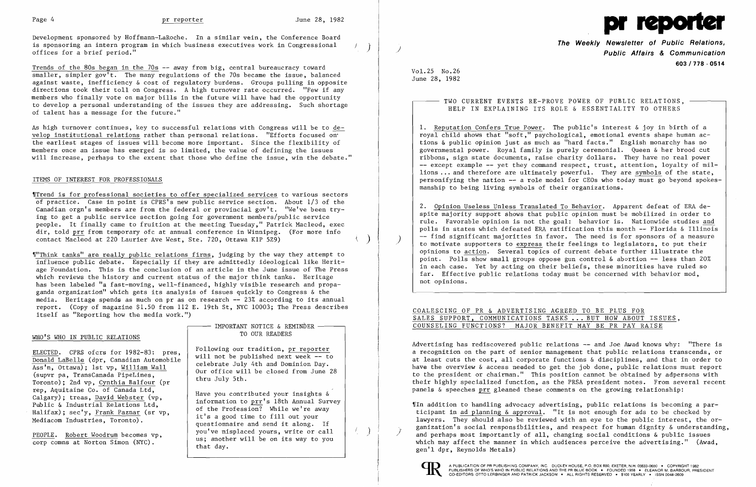Development sponsored by Hoffmann-LaRoche. In a similar vein, the Conference Board is sponsoring an intern program in which business executives work in Congressional offices for a brief period."

Trends of the 80s began in the 70s -- away from big, central bureaucracy toward  $\overline{\text{smaller}}$ , simpler gov<sup>1</sup>t. The many regulations of the 70s became the issue, balanced against waste, inefficiency & cost of regulatory burdens. Groups pulling in opposite directions took their toll on Congress. A high turnover rate occurred. "Few if any members who finally vote on major bills in the future will have had the opportunity to develop a personal understanding of the issues they are addressing. Such shortage of talent has a message for the future."

'ITrend is for professional societies to offer specialized services to various sectors of practice. Case in point is CPRS's new public service section. About 1/3 of the Canadian orgn's members are from the federal or provincial gov't. "We've been  $try$ ing to get a public service section going for government members/puhlic service people. It finally came to fruition at the meeting Tuesday," Patrick Macleod, exec dir, told prr from temporary ofc at annual conference in Winnipeg. (For more info contact Macleod at 220 Laurier Ave West, Ste. 720, Ottawa K1P 529)

As high turnover continues, key to successful relations with Congress will be to develop institutional relations rather than personal relations. "Efforts focused on" the earliest stages of issues will become more important. Since the flexibility of members once an issue has emerged is so limited, the value of defining the issues will increase, perhaps to the extent that those who define the issue, win the debate."

### ITEMS OF INTEREST FOR PROFESSIONALS

# IMPORTANT NOTICE & REMINDER TO OUR READERS

- TWO CURRENT EVENTS RE-PROVE POWER OF PUBLIC RELATIONS, -HELP IN EXPLAINING ITS ROLE & ESSENTIALITY TO OTHERS

| ____ |  | REED TO BE PLUS FOR     |                          |  |
|------|--|-------------------------|--------------------------|--|
|      |  |                         | KS BUT HOW ABOUT ISSUES, |  |
|      |  | FIT MAY BE PR PAY RAISE |                          |  |

'I"Think tanks" are really public relations firms, judging by the way they attempt to influence public debate. Especially if they are admittedly ideological like Heritage Foundation. This is the conclusion of an article in the June issue of The Press which reviews the history and current status of the major think tanks. Heritage has been labeled "a fast-moving, well-financed, highly visible research and propaganda organization" which gets its analysis of issues quickly to Congress  $\&$  the media. Heritage spends as much on pr as on research -- 23% according to its annual report. (Copy of magazine \$1.50 from 112 E. 19th St, NYC 10003; The Press describes itself as "Reporting how the media work.")

## WHO'S WHO IN PUBLIC RELATIONS

Advertising has rediscovered public relations -- and Joe Awad knows why: "There is a recognition on the part of senior management that public relations transcends, or at least cuts the cost, all corporate functions & disciplines, and that in order to have the overview & access needed to get the job done, public relations must report to the president or chairman." This position cannot be obtained by adpersons with their highly specialized function, as the PRSA president notes. From several recent panels  $\&$  speeches prr gleaned these comments on the growing relationship:

ELECTED. CPRS ofcrs for 1982-83: pres, Donald LaBelle (dpr, Canadian Automobile Ass'n, Ottawa); 1st vp, William Wall (supvr pa, TransCanada PipeLines, Toronto); 2nd vp, Cynthia Balfour (pr rep, Aquitaine Co. of Canada Ltd, Calgary); treas, David Webster (vp, Public & Industrial Relations Ltd, Halifax); sec'y, Frank Paznar (sr vp, Mediacom Industries, Toronto).

PEOPLE. Robert Woodrum becomes vp, corp comns at Norton Simon (NYC).

Following our tradition, pr reporter will not be published next week -- to celebrate July 4th and Dominion Day. Our office will be closed from June 28 thru July 5th.

> $\llbracket$ In addition to handling advocacy advertising, public relations is becoming a participant in ad planning & approval. "It is not enough for ads to be checked by lawyers. They should also be reviewed with an eye to the public interest, the organization's social responsibilities, and respect for human dignity & understanding, )' and perhaps most importantly of all, changing social conditions  $\&$  public issues which may affect the manner in which audiences perceive the advertising." (Awad, gen'l dpr, Reynolds Metals)



 $\int_{\gamma_{\rm min}}$ 

Have you contributed your insights & information to prr's 18th Annual Survey of the Profession? While we're away it's a good time to fill out your questionnaire and send it along. If you've misplaced yours, write or call us; another will be on its way to you that day.



)

 $\int$ 

**The Weekly Newsletter of Public Relations, Public Affairs & Communication 603/778·0514** 

VoL25 No.26 June 28, 1982

> 1. Reputation Confers True Power. The public's interest & joy in birth of a royal child shows that "soft," psychological, emotional events shape human actions & public opinion just as much as "hard facts." English monarchy has no governmental power. Royal family is purely ceremonial. Queen & her brood cut ribbons, sign state documents, raise charity dollars. They have no real power -- except example -- yet they command respect, trust, attention, loyalty of millions ... and therefore are ultimately powerful. They are symbols of the state, personifying the nation -- a role model for CEOs who today must go beyond spokesmanship to being living symbols of their organizations.

2. Opinion Useless Unless Translated To Behavior. Apparent defeat of ERA despite majority support shows that public opinion must be mobilized in order to rule. Favorable opinion is not the goal: behavior is. Nationwide studies and polls in states which defeated ERA ratification this month -- Florida & Illinois -- find significant majorities in favor. The need is for sponsors of a measure to motivate supporters to express their feelings to legislators, to put their opinions to action. Several topics of current debate further illustrate the point. Polls show small groups oppose gun control & abortion -- less than 20% in each case. Yet by acting on their beliefs, these minorities have ruled so far. Effective public relations today must be concerned with behavior mod, not opinions.

## COALESCING OF PR & ADVERTISING AG SALES SUPPORT, COMMUNICATIONS TASK COUNSELING FUNCTIONS? MAJOR BENE